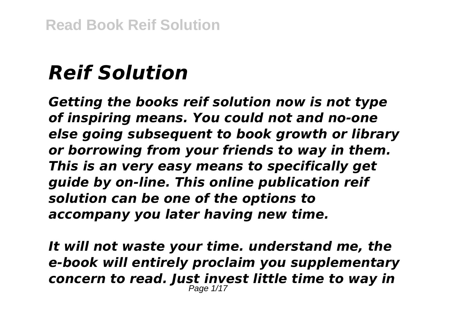# *Reif Solution*

*Getting the books reif solution now is not type of inspiring means. You could not and no-one else going subsequent to book growth or library or borrowing from your friends to way in them. This is an very easy means to specifically get guide by on-line. This online publication reif solution can be one of the options to accompany you later having new time.*

*It will not waste your time. understand me, the e-book will entirely proclaim you supplementary concern to read. Just invest little time to way in* Page 1/17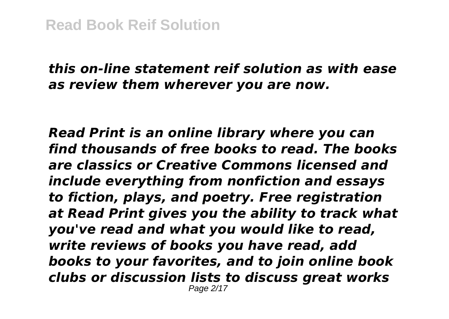### *this on-line statement reif solution as with ease as review them wherever you are now.*

*Read Print is an online library where you can find thousands of free books to read. The books are classics or Creative Commons licensed and include everything from nonfiction and essays to fiction, plays, and poetry. Free registration at Read Print gives you the ability to track what you've read and what you would like to read, write reviews of books you have read, add books to your favorites, and to join online book clubs or discussion lists to discuss great works* Page 2/17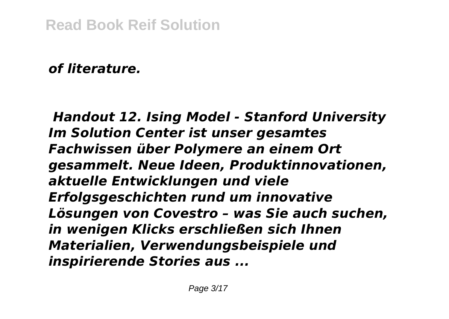### *of literature.*

*Handout 12. Ising Model - Stanford University Im Solution Center ist unser gesamtes Fachwissen über Polymere an einem Ort gesammelt. Neue Ideen, Produktinnovationen, aktuelle Entwicklungen und viele Erfolgsgeschichten rund um innovative Lösungen von Covestro – was Sie auch suchen, in wenigen Klicks erschließen sich Ihnen Materialien, Verwendungsbeispiele und inspirierende Stories aus ...*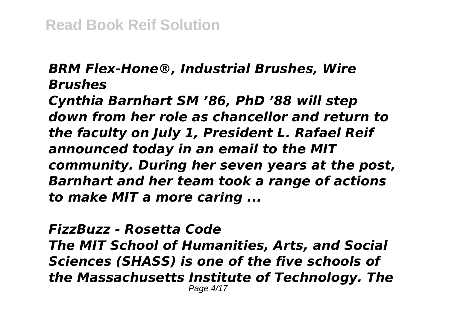#### *BRM Flex-Hone®, Industrial Brushes, Wire Brushes*

*Cynthia Barnhart SM '86, PhD '88 will step down from her role as chancellor and return to the faculty on July 1, President L. Rafael Reif announced today in an email to the MIT community. During her seven years at the post, Barnhart and her team took a range of actions to make MIT a more caring ...*

*FizzBuzz - Rosetta Code The MIT School of Humanities, Arts, and Social Sciences (SHASS) is one of the five schools of the Massachusetts Institute of Technology. The* Page 4/17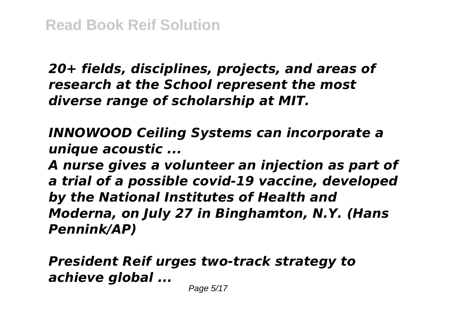*20+ fields, disciplines, projects, and areas of research at the School represent the most diverse range of scholarship at MIT.*

*INNOWOOD Ceiling Systems can incorporate a unique acoustic ...*

*A nurse gives a volunteer an injection as part of a trial of a possible covid-19 vaccine, developed by the National Institutes of Health and Moderna, on July 27 in Binghamton, N.Y. (Hans Pennink/AP)*

*President Reif urges two-track strategy to achieve global ...*

Page 5/17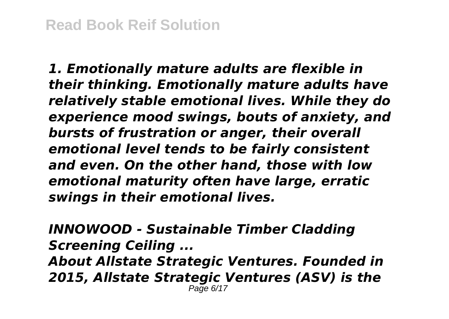*1. Emotionally mature adults are flexible in their thinking. Emotionally mature adults have relatively stable emotional lives. While they do experience mood swings, bouts of anxiety, and bursts of frustration or anger, their overall emotional level tends to be fairly consistent and even. On the other hand, those with low emotional maturity often have large, erratic swings in their emotional lives.*

*INNOWOOD - Sustainable Timber Cladding Screening Ceiling ... About Allstate Strategic Ventures. Founded in 2015, Allstate Strategic Ventures (ASV) is the* Page 6/17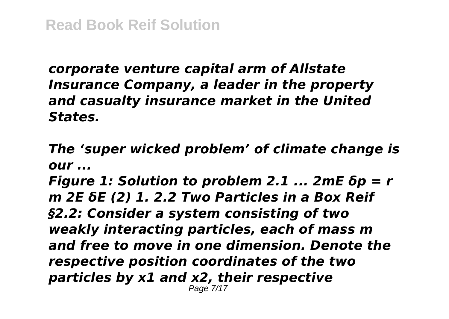*corporate venture capital arm of Allstate Insurance Company, a leader in the property and casualty insurance market in the United States.*

*The 'super wicked problem' of climate change is our ...*

*Figure 1: Solution to problem 2.1 ... 2mE δp = r m 2E δE (2) 1. 2.2 Two Particles in a Box Reif §2.2: Consider a system consisting of two weakly interacting particles, each of mass m and free to move in one dimension. Denote the respective position coordinates of the two particles by x1 and x2, their respective* Page 7/17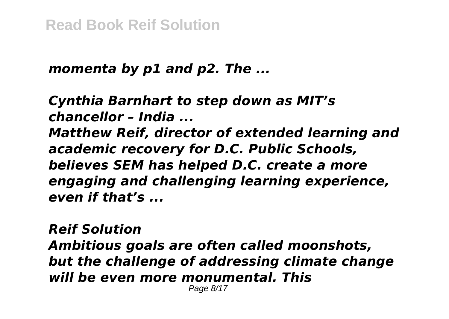#### *momenta by p1 and p2. The ...*

*Cynthia Barnhart to step down as MIT's chancellor – India ... Matthew Reif, director of extended learning and academic recovery for D.C. Public Schools, believes SEM has helped D.C. create a more engaging and challenging learning experience, even if that's ...*

*Reif Solution Ambitious goals are often called moonshots, but the challenge of addressing climate change will be even more monumental. This*

Page 8/17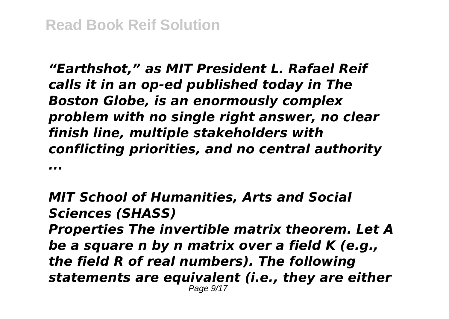*"Earthshot," as MIT President L. Rafael Reif calls it in an op-ed published today in The Boston Globe, is an enormously complex problem with no single right answer, no clear finish line, multiple stakeholders with conflicting priorities, and no central authority ...*

*MIT School of Humanities, Arts and Social Sciences (SHASS) Properties The invertible matrix theorem. Let A be a square n by n matrix over a field K (e.g., the field R of real numbers). The following statements are equivalent (i.e., they are either* Page 9/17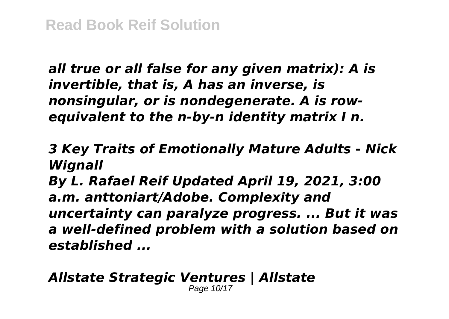*all true or all false for any given matrix): A is invertible, that is, A has an inverse, is nonsingular, or is nondegenerate. A is rowequivalent to the n-by-n identity matrix I n.*

*3 Key Traits of Emotionally Mature Adults - Nick Wignall*

*By L. Rafael Reif Updated April 19, 2021, 3:00 a.m. anttoniart/Adobe. Complexity and uncertainty can paralyze progress. ... But it was a well-defined problem with a solution based on established ...*

#### *Allstate Strategic Ventures | Allstate* Page 10/17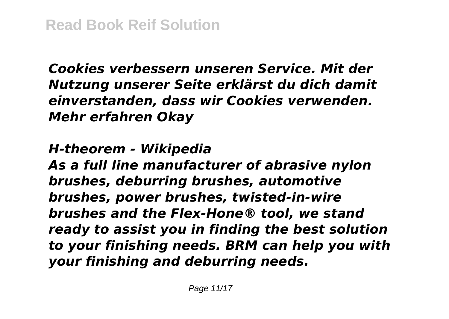*Cookies verbessern unseren Service. Mit der Nutzung unserer Seite erklärst du dich damit einverstanden, dass wir Cookies verwenden. Mehr erfahren Okay*

*H-theorem - Wikipedia*

*As a full line manufacturer of abrasive nylon brushes, deburring brushes, automotive brushes, power brushes, twisted-in-wire brushes and the Flex-Hone® tool, we stand ready to assist you in finding the best solution to your finishing needs. BRM can help you with your finishing and deburring needs.*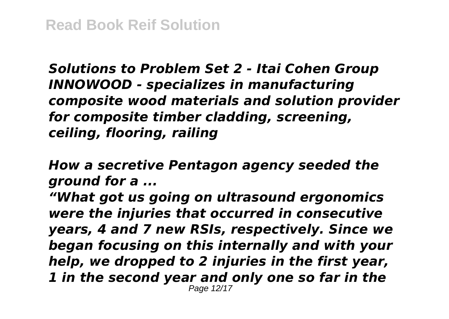*Solutions to Problem Set 2 - Itai Cohen Group INNOWOOD - specializes in manufacturing composite wood materials and solution provider for composite timber cladding, screening, ceiling, flooring, railing*

*How a secretive Pentagon agency seeded the ground for a ...*

*"What got us going on ultrasound ergonomics were the injuries that occurred in consecutive years, 4 and 7 new RSIs, respectively. Since we began focusing on this internally and with your help, we dropped to 2 injuries in the first year, 1 in the second year and only one so far in the* Page 12/17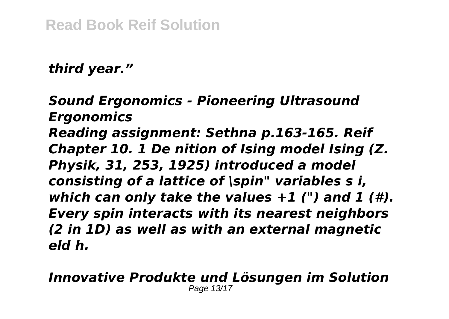## *third year."*

*Sound Ergonomics - Pioneering Ultrasound Ergonomics Reading assignment: Sethna p.163-165. Reif Chapter 10. 1 De nition of Ising model Ising (Z. Physik, 31, 253, 1925) introduced a model consisting of a lattice of \spin" variables s i, which can only take the values +1 (") and 1 (#). Every spin interacts with its nearest neighbors (2 in 1D) as well as with an external magnetic eld h.*

#### *Innovative Produkte und Lösungen im Solution* Page 13/17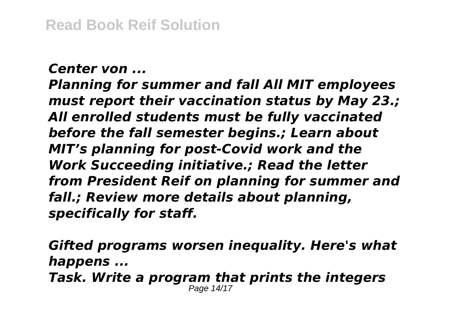#### *Center von ...*

*Planning for summer and fall All MIT employees must report their vaccination status by May 23.; All enrolled students must be fully vaccinated before the fall semester begins.; Learn about MIT's planning for post-Covid work and the Work Succeeding initiative.; Read the letter from President Reif on planning for summer and fall.; Review more details about planning, specifically for staff.*

*Gifted programs worsen inequality. Here's what happens ... Task. Write a program that prints the integers* Page 14/17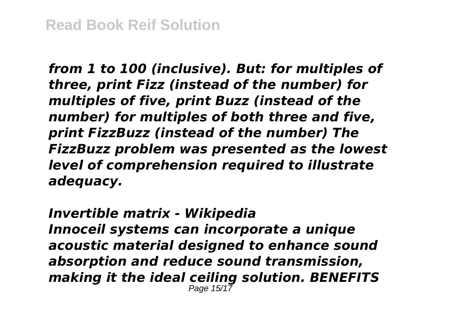*from 1 to 100 (inclusive). But: for multiples of three, print Fizz (instead of the number) for multiples of five, print Buzz (instead of the number) for multiples of both three and five, print FizzBuzz (instead of the number) The FizzBuzz problem was presented as the lowest level of comprehension required to illustrate adequacy.*

#### *Invertible matrix - Wikipedia Innoceil systems can incorporate a unique acoustic material designed to enhance sound absorption and reduce sound transmission, making it the ideal ceiling solution. BENEFITS* Page 15/17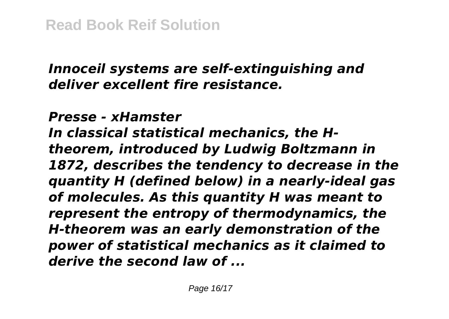# *Innoceil systems are self-extinguishing and deliver excellent fire resistance.*

*Presse - xHamster*

*In classical statistical mechanics, the Htheorem, introduced by Ludwig Boltzmann in 1872, describes the tendency to decrease in the quantity H (defined below) in a nearly-ideal gas of molecules. As this quantity H was meant to represent the entropy of thermodynamics, the H-theorem was an early demonstration of the power of statistical mechanics as it claimed to derive the second law of ...*